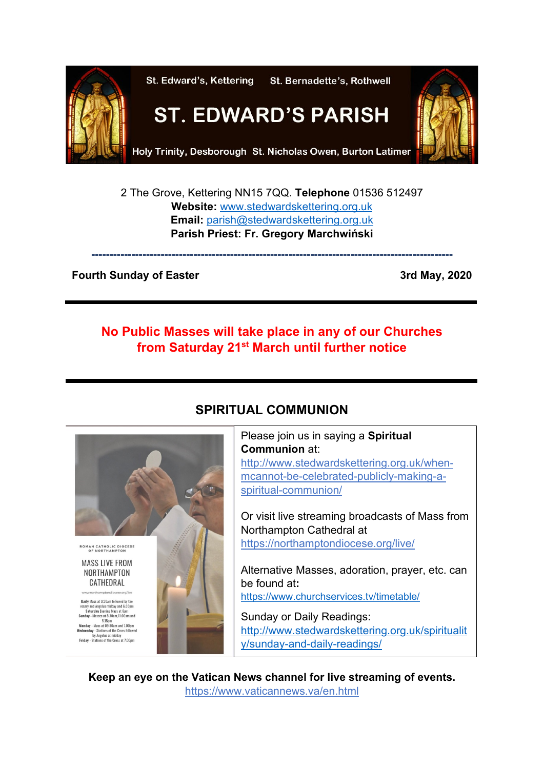

2 The Grove, Kettering NN15 7QQ. **Telephone** 01536 512497 **Website:** [www.stedwardskettering.org.uk](http://www.stedwardskettering.org.uk/) **Email:** [parish@stedwardskettering.org.uk](mailto:parish@stedwardskettering.org.uk) **Parish Priest: Fr. Gregory Marchwiński**

**---------------------------------------------------------------------------------------------------**

#### **Fourth Sunday of Easter 3rd May, 2020**

## **No Public Masses will take place in any of our Churches from Saturday 21st March until further notice**



# **SPIRITUAL COMMUNION**

Please join us in saying a **Spiritual Communion** at: [http://www.stedwardskettering.org.uk/when](http://www.stedwardskettering.org.uk/when-mass-cannot-be-celebrated-publicly-making-a-spiritual-communion/)[mcannot-be-celebrated-publicly-making-a](http://www.stedwardskettering.org.uk/when-mass-cannot-be-celebrated-publicly-making-a-spiritual-communion/)[spiritual-communion/](http://www.stedwardskettering.org.uk/when-mass-cannot-be-celebrated-publicly-making-a-spiritual-communion/)

Or visit live streaming broadcasts of Mass from Northampton Cathedral at <https://northamptondiocese.org/live/>

Alternative Masses, adoration, prayer, etc. can be found at**:**  <https://www.churchservices.tv/timetable/>

Sunday or Daily Readings: [http://www.stedwardskettering.org.uk/spiritualit](http://www.stedwardskettering.org.uk/spirituality/sunday-and-daily-readings/) [y/sunday-and-daily-readings/](http://www.stedwardskettering.org.uk/spirituality/sunday-and-daily-readings/)

**Keep an eye on the Vatican News channel for live streaming of events.**  <https://www.vaticannews.va/en.html>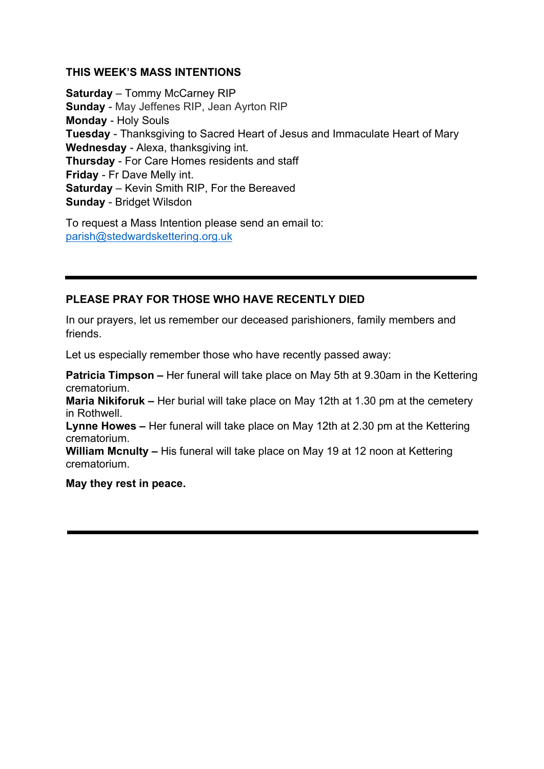#### **THIS WEEK'S MASS INTENTIONS**

**Saturday** – Tommy McCarney RIP **Sunday** - May Jeffenes RIP, Jean Ayrton RIP **Monday** - Holy Souls **Tuesday** - Thanksgiving to Sacred Heart of Jesus and Immaculate Heart of Mary **Wednesday** - Alexa, thanksgiving int. **Thursday** - For Care Homes residents and staff **Friday** - Fr Dave Melly int. **Saturday** – Kevin Smith RIP, For the Bereaved **Sunday** - Bridget Wilsdon

To request a Mass Intention please send an email to: [parish@stedwardskettering.org.uk](mailto:parish@stedwardskettering.org.uk)

### **PLEASE PRAY FOR THOSE WHO HAVE RECENTLY DIED**

In our prayers, let us remember our deceased parishioners, family members and friends.

Let us especially remember those who have recently passed away:

**Patricia Timpson –** Her funeral will take place on May 5th at 9.30am in the Kettering crematorium.

**Maria Nikiforuk –** Her burial will take place on May 12th at 1.30 pm at the cemetery in Rothwell.

**Lynne Howes –** Her funeral will take place on May 12th at 2.30 pm at the Kettering crematorium.

**William Mcnulty –** His funeral will take place on May 19 at 12 noon at Kettering crematorium.

**May they rest in peace.**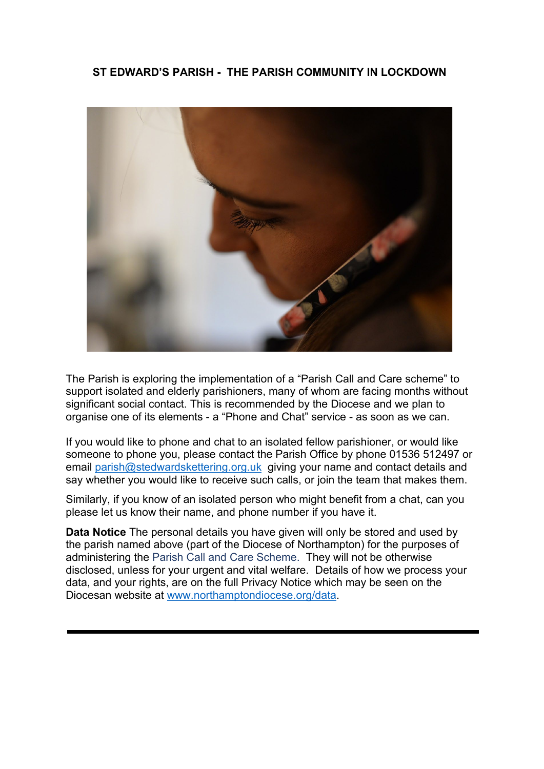### **ST EDWARD'S PARISH - THE PARISH COMMUNITY IN LOCKDOWN**



The Parish is exploring the implementation of a "Parish Call and Care scheme" to support isolated and elderly parishioners, many of whom are facing months without significant social contact. This is recommended by the Diocese and we plan to organise one of its elements - a "Phone and Chat" service - as soon as we can.

If you would like to phone and chat to an isolated fellow parishioner, or would like someone to phone you, please contact the Parish Office by phone 01536 512497 or email [parish@stedwardskettering.org.uk](mailto:parish@stedwardskettering.org.uk) giving your name and contact details and say whether you would like to receive such calls, or join the team that makes them.

Similarly, if you know of an isolated person who might benefit from a chat, can you please let us know their name, and phone number if you have it.

**Data Notice** The personal details you have given will only be stored and used by the parish named above (part of the Diocese of Northampton) for the purposes of administering the Parish Call and Care Scheme. They will not be otherwise disclosed, unless for your urgent and vital welfare. Details of how we process your data, and your rights, are on the full Privacy Notice which may be seen on the Diocesan website at [www.northamptondiocese.org/data.](http://www.northamptondiocese.org/data)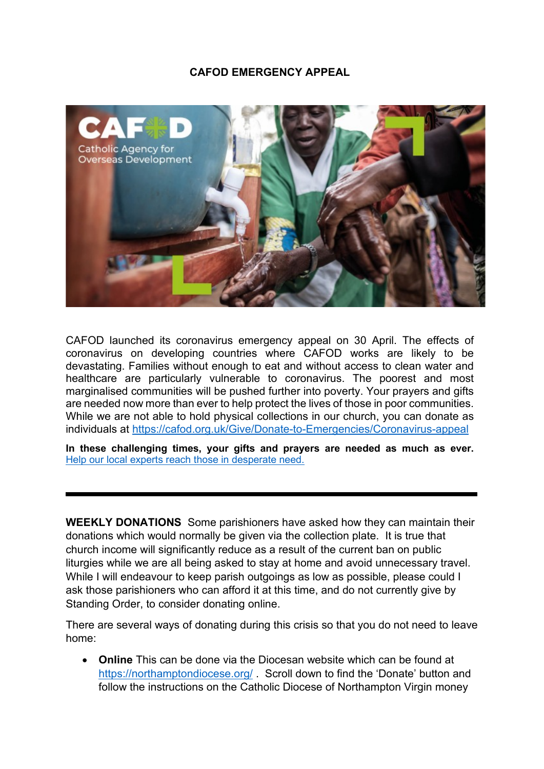#### **CAFOD EMERGENCY APPEAL**



CAFOD launched its coronavirus emergency appeal on 30 April. The effects of coronavirus on developing countries where CAFOD works are likely to be devastating. Families without enough to eat and without access to clean water and healthcare are particularly vulnerable to coronavirus. The poorest and most marginalised communities will be pushed further into poverty. Your prayers and gifts are needed now more than ever to help protect the lives of those in poor communities. While we are not able to hold physical collections in our church, you can donate as individuals at<https://cafod.org.uk/Give/Donate-to-Emergencies/Coronavirus-appeal>

**In these challenging times, your gifts and prayers are needed as much as ever.** [Help our local experts reach those in desperate need.](https://cafod.org.uk/Give/Donate-to-Emergencies/Support-our-local-experts?utm_source=staffemailfooter&utm_medium=email&utm_campaign=Coronavirus-solidarity-email-footer-2020)

**WEEKLY DONATIONS** Some parishioners have asked how they can maintain their donations which would normally be given via the collection plate. It is true that church income will significantly reduce as a result of the current ban on public liturgies while we are all being asked to stay at home and avoid unnecessary travel. While I will endeavour to keep parish outgoings as low as possible, please could I ask those parishioners who can afford it at this time, and do not currently give by Standing Order, to consider donating online.

There are several ways of donating during this crisis so that you do not need to leave home:

• **Online** This can be done via the Diocesan website which can be found at <https://northamptondiocese.org/> . Scroll down to find the 'Donate' button and follow the instructions on the Catholic Diocese of Northampton Virgin money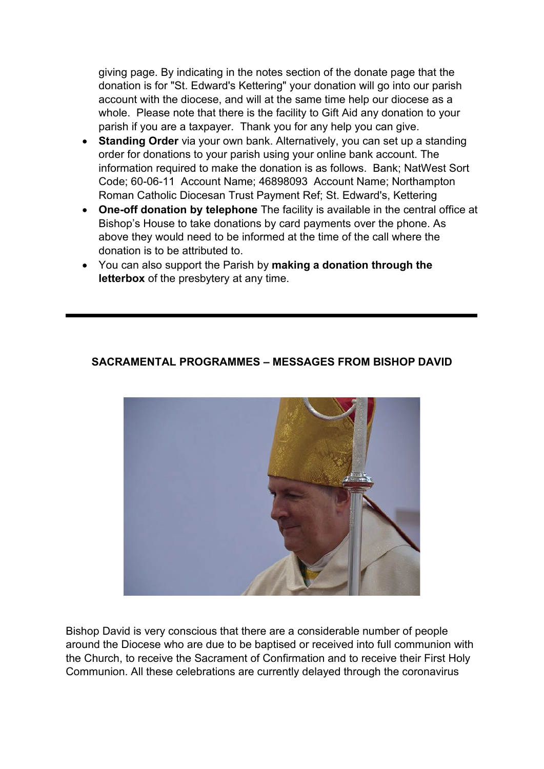giving page. By indicating in the notes section of the donate page that the donation is for "St. Edward's Kettering" your donation will go into our parish account with the diocese, and will at the same time help our diocese as a whole. Please note that there is the facility to Gift Aid any donation to your parish if you are a taxpayer. Thank you for any help you can give.

- **Standing Order** via your own bank. Alternatively, you can set up a standing order for donations to your parish using your online bank account. The information required to make the donation is as follows. Bank; NatWest Sort Code; 60-06-11 Account Name; 46898093 Account Name; Northampton Roman Catholic Diocesan Trust Payment Ref; St. Edward's, Kettering
- **One-off donation by telephone** The facility is available in the central office at Bishop's House to take donations by card payments over the phone. As above they would need to be informed at the time of the call where the donation is to be attributed to.
- You can also support the Parish by **making a donation through the letterbox** of the presbytery at any time.

#### **SACRAMENTAL PROGRAMMES – MESSAGES FROM BISHOP DAVID**



Bishop David is very conscious that there are a considerable number of people around the Diocese who are due to be baptised or received into full communion with the Church, to receive the Sacrament of Confirmation and to receive their First Holy Communion. All these celebrations are currently delayed through the coronavirus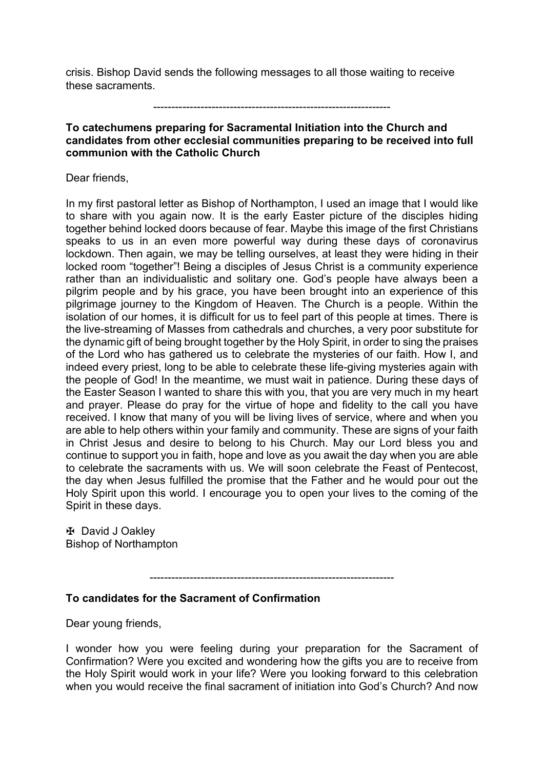crisis. Bishop David sends the following messages to all those waiting to receive these sacraments.

-----------------------------------------------------------------

#### **To catechumens preparing for Sacramental Initiation into the Church and candidates from other ecclesial communities preparing to be received into full communion with the Catholic Church**

#### Dear friends,

In my first pastoral letter as Bishop of Northampton, I used an image that I would like to share with you again now. It is the early Easter picture of the disciples hiding together behind locked doors because of fear. Maybe this image of the first Christians speaks to us in an even more powerful way during these days of coronavirus lockdown. Then again, we may be telling ourselves, at least they were hiding in their locked room "together"! Being a disciples of Jesus Christ is a community experience rather than an individualistic and solitary one. God's people have always been a pilgrim people and by his grace, you have been brought into an experience of this pilgrimage journey to the Kingdom of Heaven. The Church is a people. Within the isolation of our homes, it is difficult for us to feel part of this people at times. There is the live-streaming of Masses from cathedrals and churches, a very poor substitute for the dynamic gift of being brought together by the Holy Spirit, in order to sing the praises of the Lord who has gathered us to celebrate the mysteries of our faith. How I, and indeed every priest, long to be able to celebrate these life-giving mysteries again with the people of God! In the meantime, we must wait in patience. During these days of the Easter Season I wanted to share this with you, that you are very much in my heart and prayer. Please do pray for the virtue of hope and fidelity to the call you have received. I know that many of you will be living lives of service, where and when you are able to help others within your family and community. These are signs of your faith in Christ Jesus and desire to belong to his Church. May our Lord bless you and continue to support you in faith, hope and love as you await the day when you are able to celebrate the sacraments with us. We will soon celebrate the Feast of Pentecost, the day when Jesus fulfilled the promise that the Father and he would pour out the Holy Spirit upon this world. I encourage you to open your lives to the coming of the Spirit in these days.

✠ David J Oakley Bishop of Northampton

-------------------------------------------------------------------

#### **To candidates for the Sacrament of Confirmation**

Dear young friends,

I wonder how you were feeling during your preparation for the Sacrament of Confirmation? Were you excited and wondering how the gifts you are to receive from the Holy Spirit would work in your life? Were you looking forward to this celebration when you would receive the final sacrament of initiation into God's Church? And now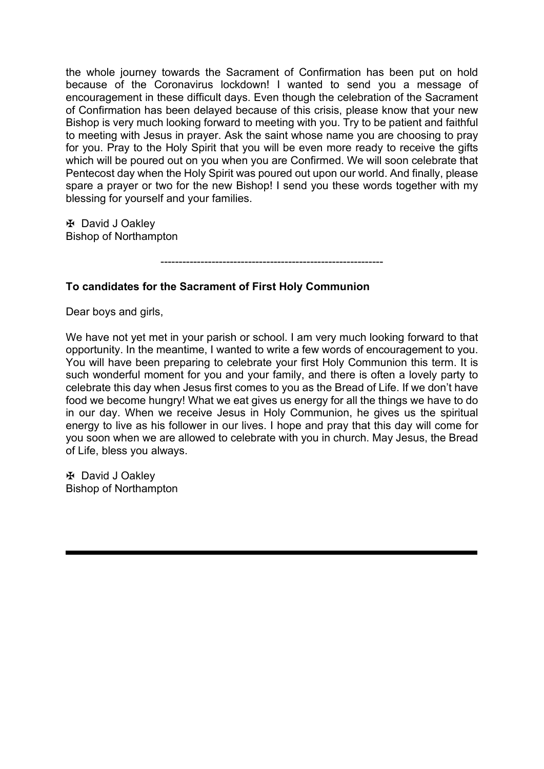the whole journey towards the Sacrament of Confirmation has been put on hold because of the Coronavirus lockdown! I wanted to send you a message of encouragement in these difficult days. Even though the celebration of the Sacrament of Confirmation has been delayed because of this crisis, please know that your new Bishop is very much looking forward to meeting with you. Try to be patient and faithful to meeting with Jesus in prayer. Ask the saint whose name you are choosing to pray for you. Pray to the Holy Spirit that you will be even more ready to receive the gifts which will be poured out on you when you are Confirmed. We will soon celebrate that Pentecost day when the Holy Spirit was poured out upon our world. And finally, please spare a prayer or two for the new Bishop! I send you these words together with my blessing for yourself and your families.

✠ David J Oakley Bishop of Northampton

-------------------------------------------------------------

#### **To candidates for the Sacrament of First Holy Communion**

Dear boys and girls,

We have not yet met in your parish or school. I am very much looking forward to that opportunity. In the meantime, I wanted to write a few words of encouragement to you. You will have been preparing to celebrate your first Holy Communion this term. It is such wonderful moment for you and your family, and there is often a lovely party to celebrate this day when Jesus first comes to you as the Bread of Life. If we don't have food we become hungry! What we eat gives us energy for all the things we have to do in our day. When we receive Jesus in Holy Communion, he gives us the spiritual energy to live as his follower in our lives. I hope and pray that this day will come for you soon when we are allowed to celebrate with you in church. May Jesus, the Bread of Life, bless you always.

✠ David J Oakley Bishop of Northampton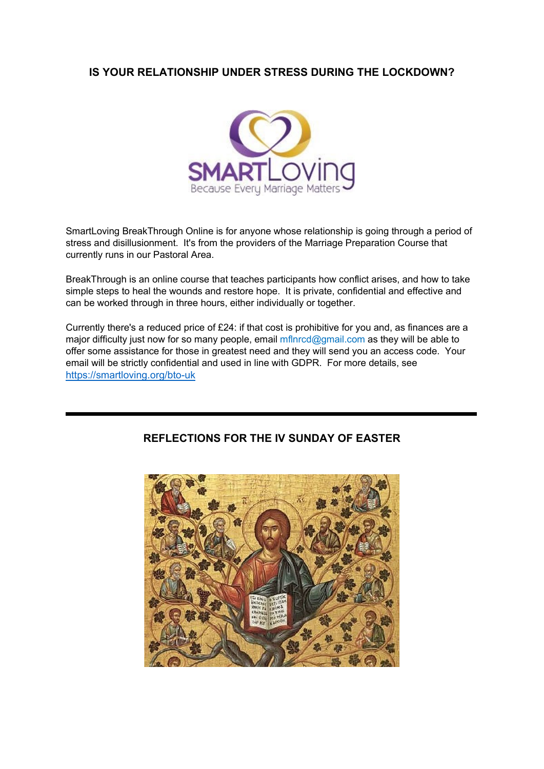### **IS YOUR RELATIONSHIP UNDER STRESS DURING THE LOCKDOWN?**



SmartLoving BreakThrough Online is for anyone whose relationship is going through a period of stress and disillusionment. It's from the providers of the Marriage Preparation Course that currently runs in our Pastoral Area.

BreakThrough is an online course that teaches participants how conflict arises, and how to take simple steps to heal the wounds and restore hope. It is private, confidential and effective and can be worked through in three hours, either individually or together.

Currently there's a reduced price of £24: if that cost is prohibitive for you and, as finances are a major difficulty just now for so many people, email  $mflnrcd$ @gmail.com as they will be able to offer some assistance for those in greatest need and they will send you an access code. Your email will be strictly confidential and used in line with GDPR. For more details, see <https://smartloving.org/bto-uk>



### **REFLECTIONS FOR THE IV SUNDAY OF EASTER**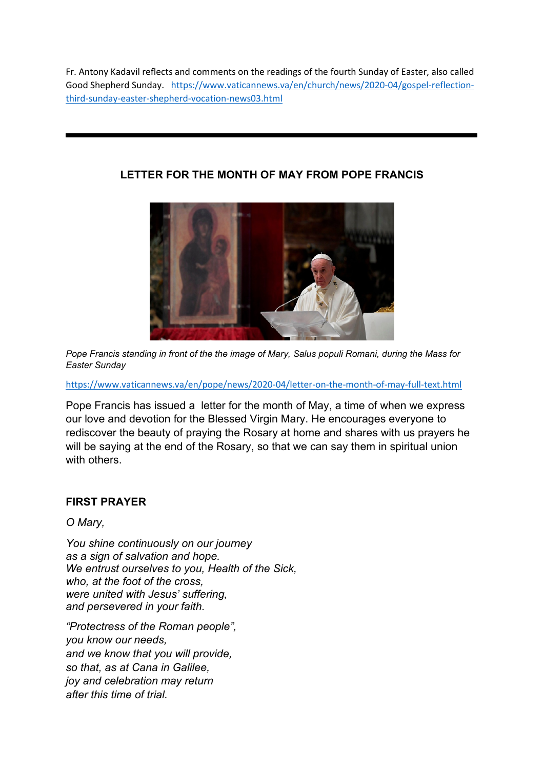Fr. Antony Kadavil reflects and comments on the readings of the fourth Sunday of Easter, also called Good Shepherd Sunday. [https://www.vaticannews.va/en/church/news/2020-04/gospel-reflection](https://www.vaticannews.va/en/church/news/2020-04/gospel-reflection-third-sunday-easter-shepherd-vocation-news03.html)[third-sunday-easter-shepherd-vocation-news03.html](https://www.vaticannews.va/en/church/news/2020-04/gospel-reflection-third-sunday-easter-shepherd-vocation-news03.html)

### **LETTER FOR THE MONTH OF MAY FROM POPE FRANCIS**



*Pope Francis standing in front of the the image of Mary, Salus populi Romani, during the Mass for Easter Sunday*

<https://www.vaticannews.va/en/pope/news/2020-04/letter-on-the-month-of-may-full-text.html>

Pope Francis has issued a letter for the month of May, a time of when we express our love and devotion for the Blessed Virgin Mary. He encourages everyone to rediscover the beauty of praying the Rosary at home and shares with us prayers he will be saying at the end of the Rosary, so that we can say them in spiritual union with others.

### **FIRST PRAYER**

*O Mary,*

*You shine continuously on our journey as a sign of salvation and hope. We entrust ourselves to you, Health of the Sick, who, at the foot of the cross, were united with Jesus' suffering, and persevered in your faith.*

*"Protectress of the Roman people", you know our needs, and we know that you will provide, so that, as at Cana in Galilee, joy and celebration may return after this time of trial.*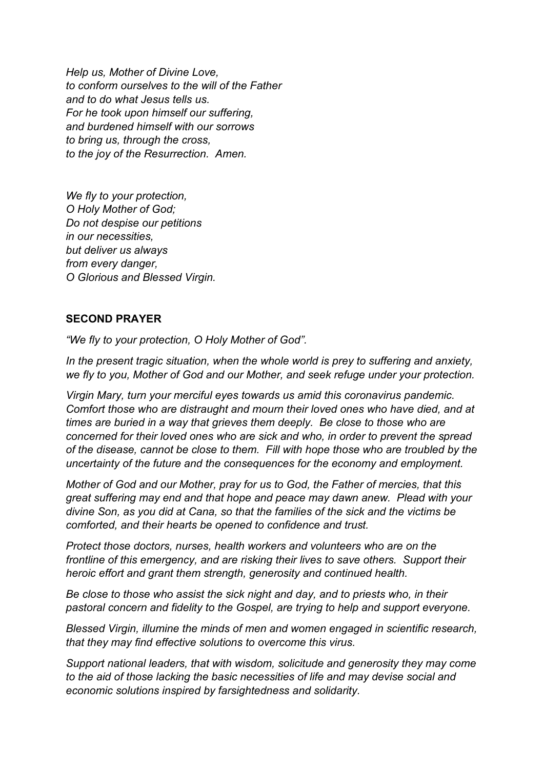*Help us, Mother of Divine Love, to conform ourselves to the will of the Father and to do what Jesus tells us. For he took upon himself our suffering, and burdened himself with our sorrows to bring us, through the cross, to the joy of the Resurrection. Amen.*

*We fly to your protection, O Holy Mother of God; Do not despise our petitions in our necessities, but deliver us always from every danger, O Glorious and Blessed Virgin.*

### **SECOND PRAYER**

*"We fly to your protection, O Holy Mother of God".* 

*In the present tragic situation, when the whole world is prey to suffering and anxiety, we fly to you, Mother of God and our Mother, and seek refuge under your protection.*

*Virgin Mary, turn your merciful eyes towards us amid this coronavirus pandemic. Comfort those who are distraught and mourn their loved ones who have died, and at times are buried in a way that grieves them deeply. Be close to those who are concerned for their loved ones who are sick and who, in order to prevent the spread of the disease, cannot be close to them. Fill with hope those who are troubled by the uncertainty of the future and the consequences for the economy and employment.*

*Mother of God and our Mother, pray for us to God, the Father of mercies, that this great suffering may end and that hope and peace may dawn anew. Plead with your divine Son, as you did at Cana, so that the families of the sick and the victims be comforted, and their hearts be opened to confidence and trust.*

*Protect those doctors, nurses, health workers and volunteers who are on the frontline of this emergency, and are risking their lives to save others. Support their heroic effort and grant them strength, generosity and continued health.*

*Be close to those who assist the sick night and day, and to priests who, in their pastoral concern and fidelity to the Gospel, are trying to help and support everyone.* 

*Blessed Virgin, illumine the minds of men and women engaged in scientific research, that they may find effective solutions to overcome this virus.* 

*Support national leaders, that with wisdom, solicitude and generosity they may come to the aid of those lacking the basic necessities of life and may devise social and economic solutions inspired by farsightedness and solidarity.*